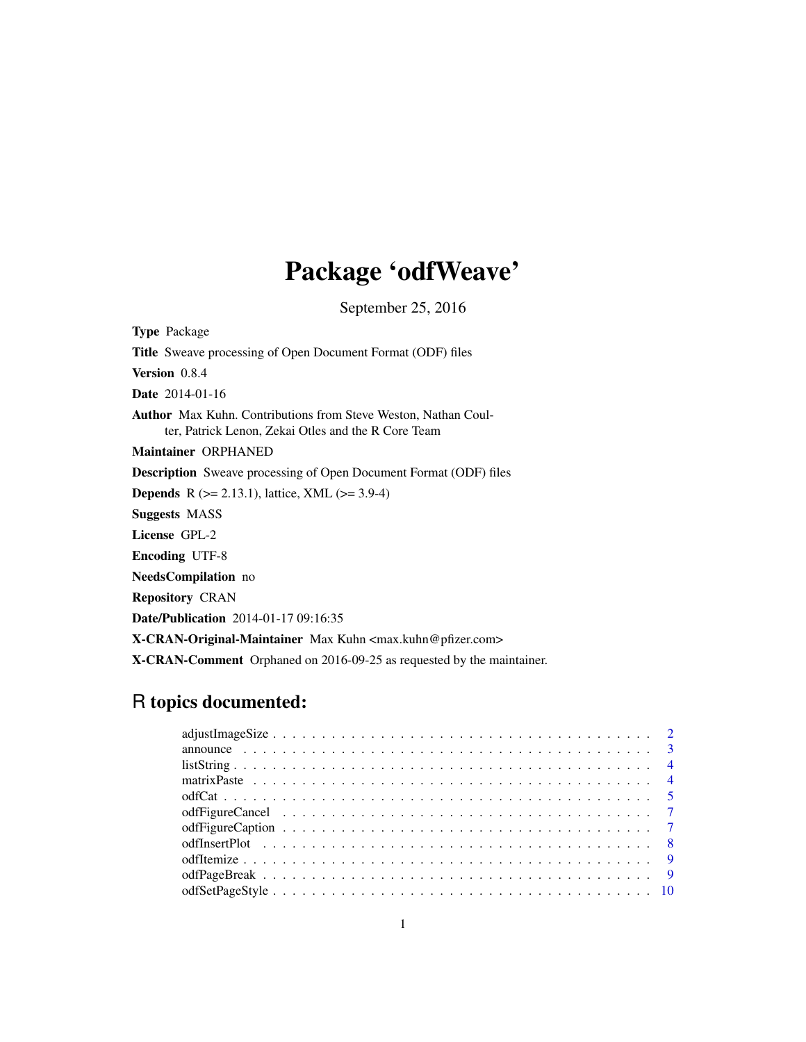# Package 'odfWeave'

September 25, 2016

<span id="page-0-0"></span>Type Package Title Sweave processing of Open Document Format (ODF) files Version 0.8.4 Date 2014-01-16 Author Max Kuhn. Contributions from Steve Weston, Nathan Coulter, Patrick Lenon, Zekai Otles and the R Core Team Maintainer ORPHANED Description Sweave processing of Open Document Format (ODF) files **Depends** R ( $>= 2.13.1$ ), lattice, XML ( $>= 3.9-4$ ) Suggests MASS License GPL-2 Encoding UTF-8 NeedsCompilation no Repository CRAN Date/Publication 2014-01-17 09:16:35 X-CRAN-Original-Maintainer Max Kuhn <max.kuhn@pfizer.com> X-CRAN-Comment Orphaned on 2016-09-25 as requested by the maintainer.

# R topics documented: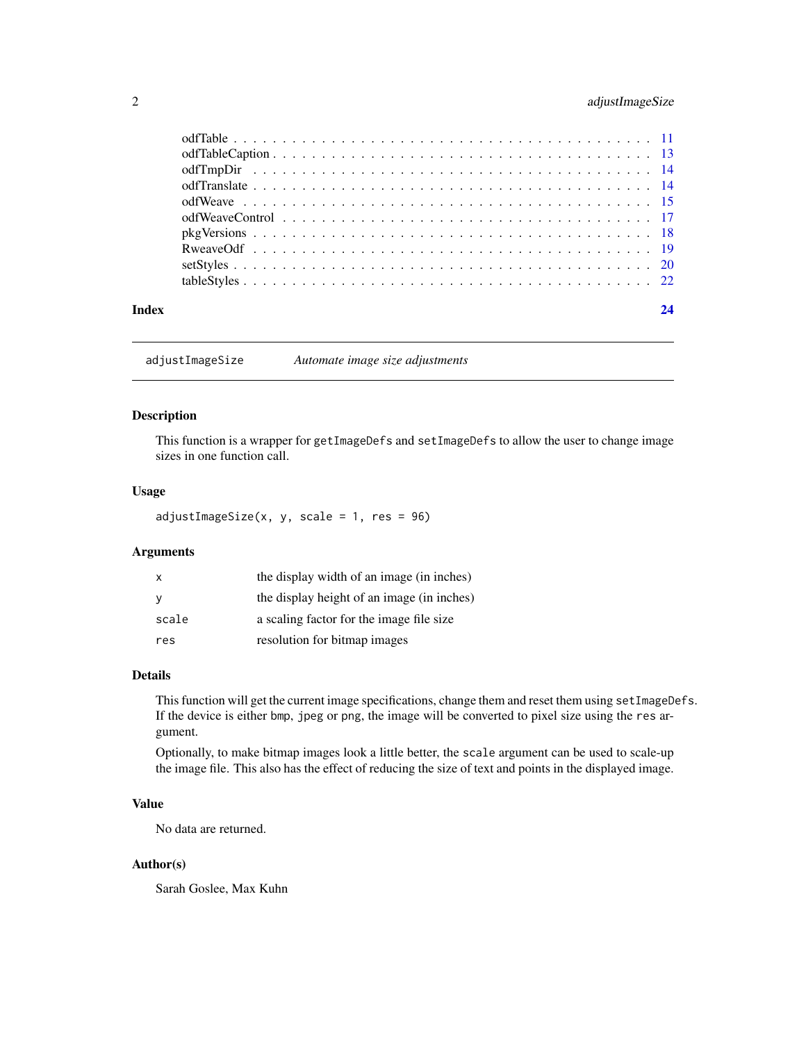# <span id="page-1-0"></span>2 adjustImageSize

| Index | 24 |
|-------|----|

adjustImageSize *Automate image size adjustments*

#### Description

This function is a wrapper for getImageDefs and setImageDefs to allow the user to change image sizes in one function call.

# Usage

adjustImageSize(x, y, scale = 1, res = 96)

# Arguments

| $\mathsf{x}$ | the display width of an image (in inches)  |
|--------------|--------------------------------------------|
|              | the display height of an image (in inches) |
| scale        | a scaling factor for the image file size   |
| res          | resolution for bitmap images               |

# Details

This function will get the current image specifications, change them and reset them using setImageDefs. If the device is either bmp, jpeg or png, the image will be converted to pixel size using the res argument.

Optionally, to make bitmap images look a little better, the scale argument can be used to scale-up the image file. This also has the effect of reducing the size of text and points in the displayed image.

# Value

No data are returned.

#### Author(s)

Sarah Goslee, Max Kuhn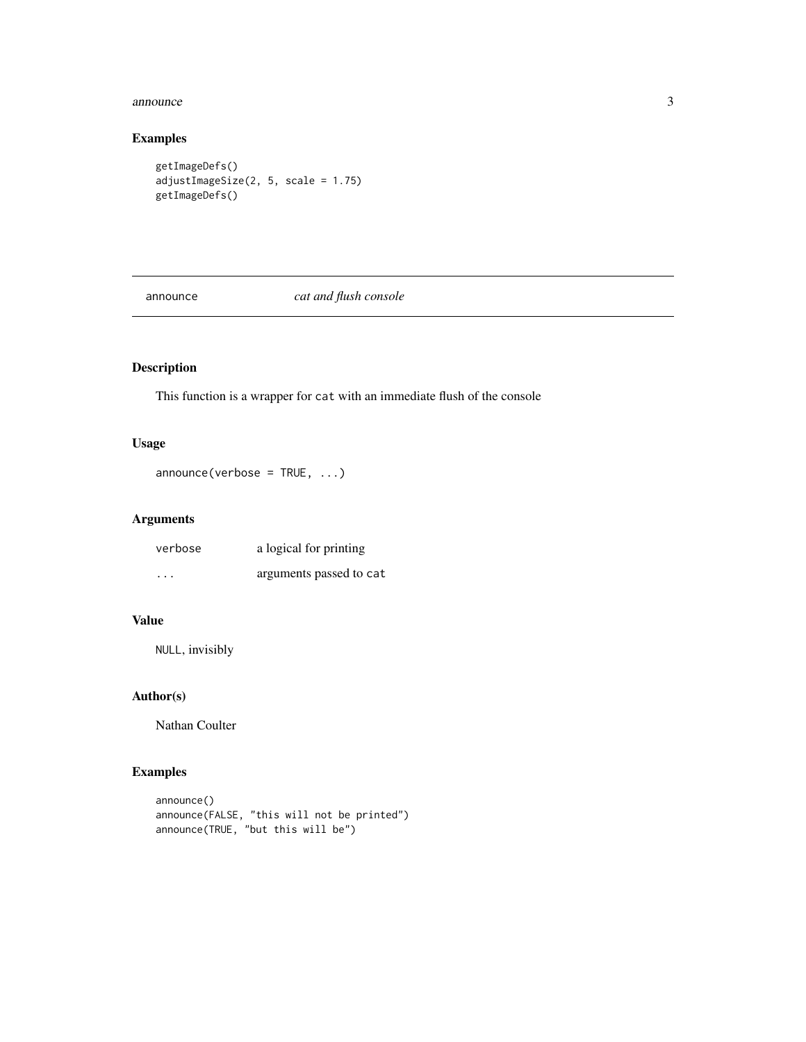#### <span id="page-2-0"></span>announce 3

# Examples

```
getImageDefs()
adjustImageSize(2, 5, scale = 1.75)
getImageDefs()
```
announce *cat and flush console*

# Description

This function is a wrapper for cat with an immediate flush of the console

# Usage

```
announce(verbose = TRUE, ...)
```
# Arguments

| verbose                 | a logical for printing  |
|-------------------------|-------------------------|
| $\cdot$ $\cdot$ $\cdot$ | arguments passed to cat |

# Value

NULL, invisibly

# Author(s)

Nathan Coulter

```
announce()
announce(FALSE, "this will not be printed")
announce(TRUE, "but this will be")
```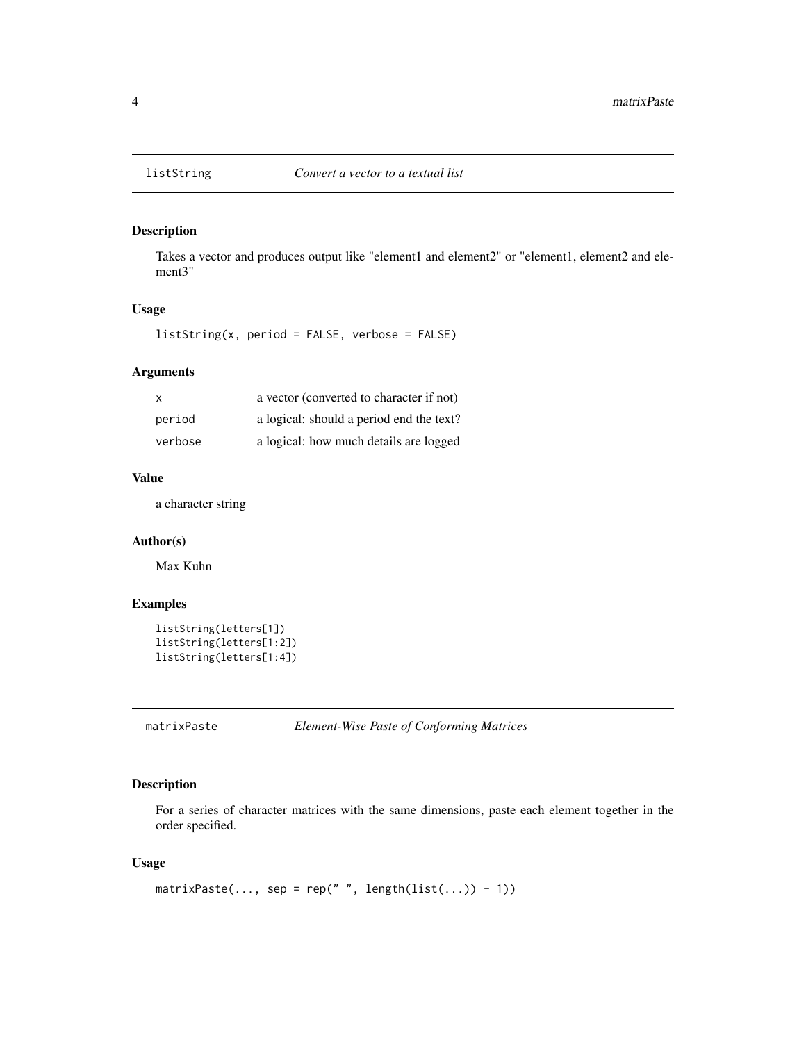# Description

Takes a vector and produces output like "element1 and element2" or "element1, element2 and element3"

#### Usage

listString(x, period = FALSE, verbose = FALSE)

#### Arguments

| $\mathsf{x}$ | a vector (converted to character if not) |
|--------------|------------------------------------------|
| period       | a logical: should a period end the text? |
| verbose      | a logical: how much details are logged   |

# Value

a character string

#### Author(s)

Max Kuhn

#### Examples

```
listString(letters[1])
listString(letters[1:2])
listString(letters[1:4])
```
matrixPaste *Element-Wise Paste of Conforming Matrices*

#### Description

For a series of character matrices with the same dimensions, paste each element together in the order specified.

# Usage

```
matrixPaste(..., sep = rep(" ", length(list(...)) - 1))
```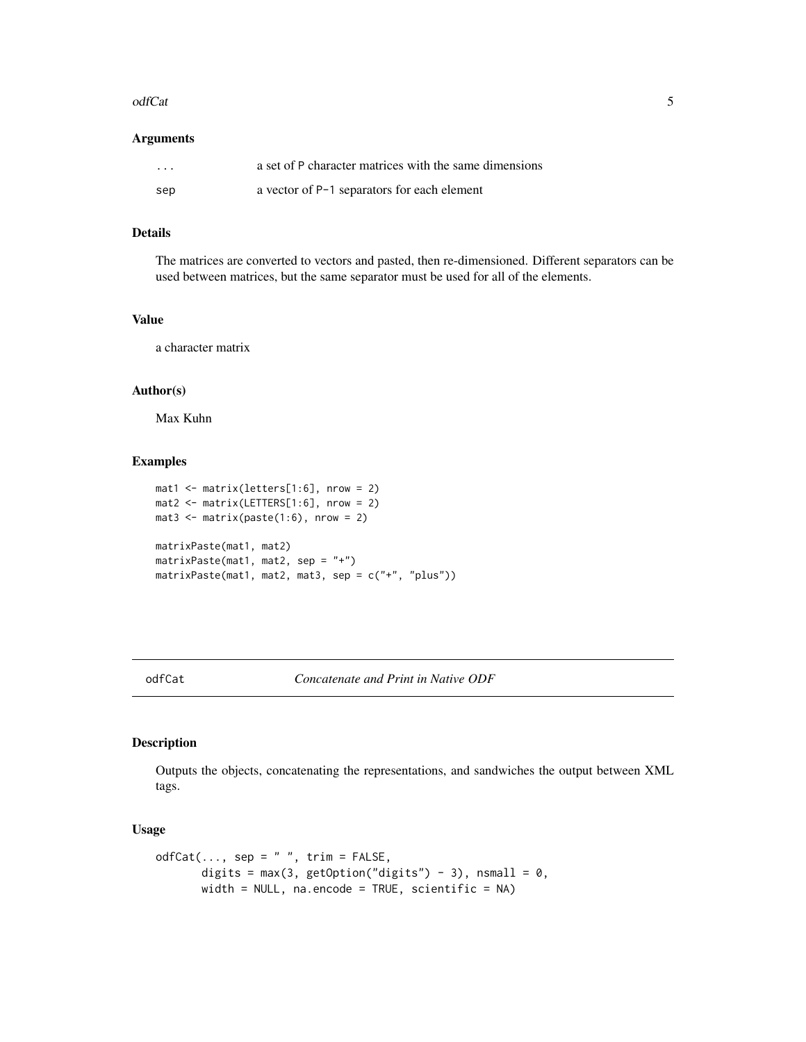#### <span id="page-4-0"></span>odfCat 5

#### Arguments

| $\cdots$ | a set of P character matrices with the same dimensions |
|----------|--------------------------------------------------------|
| sep      | a vector of P-1 separators for each element            |

# Details

The matrices are converted to vectors and pasted, then re-dimensioned. Different separators can be used between matrices, but the same separator must be used for all of the elements.

# Value

a character matrix

## Author(s)

Max Kuhn

#### Examples

```
mat1 <- matrix(letters[1:6], nrow = 2)mat2 \leftarrow matrix(LETTERS[1:6], nrow = 2)mat3 \leftarrow matrix(paste(1:6), nrow = 2)matrixPaste(mat1, mat2)
matrixPaste(mat1, mat2, sep = "+")
matrixPaste(mat1, mat2, mat3, sep = c("+", "plus"))
```
odfCat *Concatenate and Print in Native ODF*

#### Description

Outputs the objects, concatenating the representations, and sandwiches the output between XML tags.

#### Usage

```
odfCat(..., sep = " " , trim = FALSE,digits = max(3, getOption("digits") - 3), nsmall = 0,
      width = NULL, na.encode = TRUE, scientific = NA)
```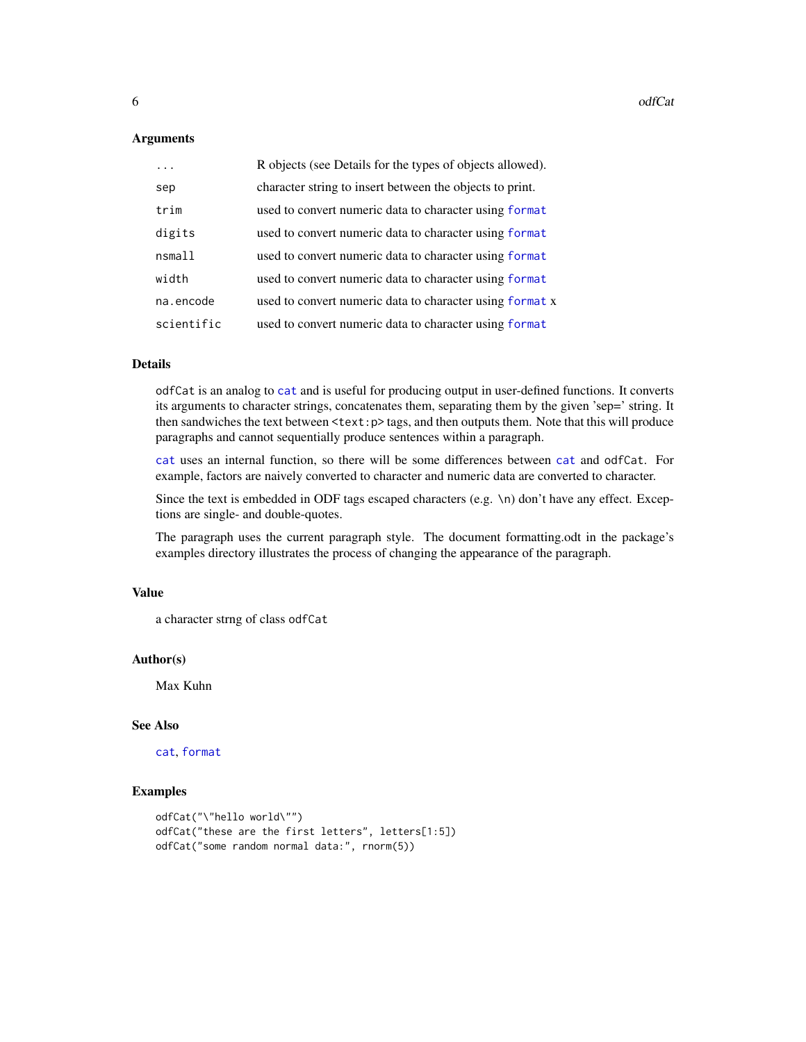#### <span id="page-5-0"></span>**Arguments**

| $\ddots$   | R objects (see Details for the types of objects allowed). |
|------------|-----------------------------------------------------------|
| sep        | character string to insert between the objects to print.  |
| trim       | used to convert numeric data to character using format    |
| digits     | used to convert numeric data to character using format    |
| nsmall     | used to convert numeric data to character using format    |
| width      | used to convert numeric data to character using format    |
| na.encode  | used to convert numeric data to character using format x  |
| scientific | used to convert numeric data to character using format    |

#### Details

odfCat is an analog to [cat](#page-0-0) and is useful for producing output in user-defined functions. It converts its arguments to character strings, concatenates them, separating them by the given 'sep=' string. It then sandwiches the text between  $\text{}\text{tags},$  and then outputs them. Note that this will produce paragraphs and cannot sequentially produce sentences within a paragraph.

[cat](#page-0-0) uses an internal function, so there will be some differences between [cat](#page-0-0) and odfCat. For example, factors are naively converted to character and numeric data are converted to character.

Since the text is embedded in ODF tags escaped characters (e.g. \n) don't have any effect. Exceptions are single- and double-quotes.

The paragraph uses the current paragraph style. The document formatting.odt in the package's examples directory illustrates the process of changing the appearance of the paragraph.

#### Value

```
a character strng of class odfCat
```
#### Author(s)

Max Kuhn

#### See Also

[cat](#page-0-0), [format](#page-0-0)

```
odfCat("\"hello world\"")
odfCat("these are the first letters", letters[1:5])
odfCat("some random normal data:", rnorm(5))
```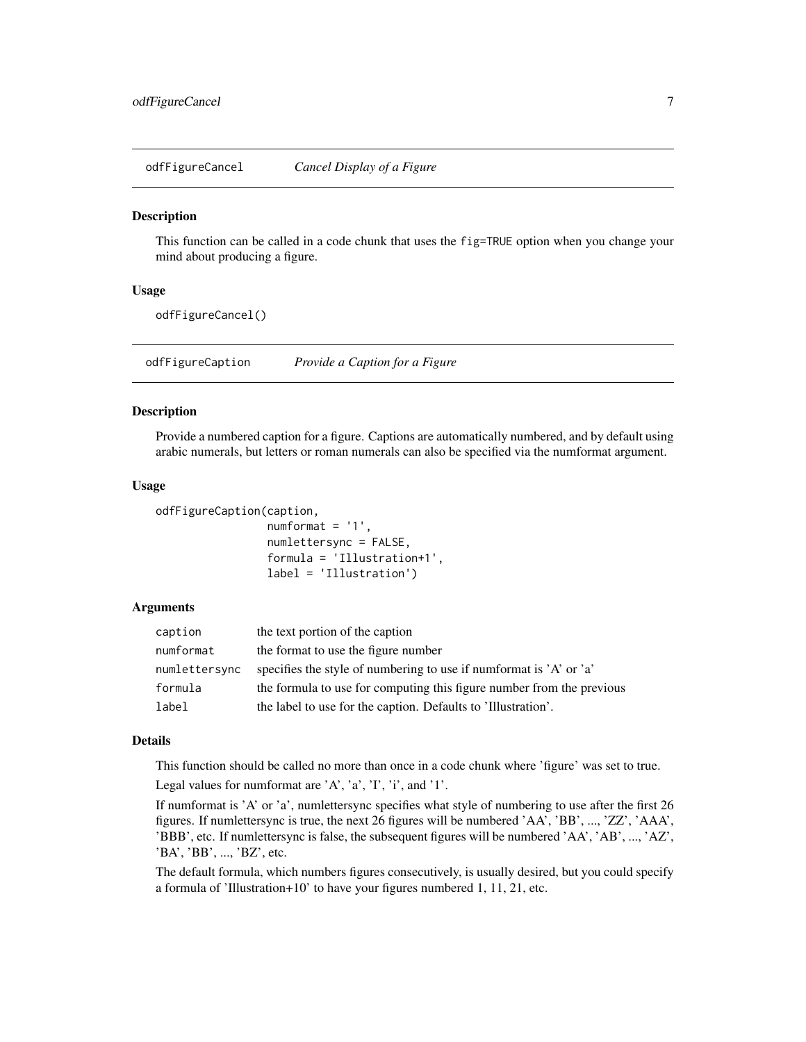<span id="page-6-0"></span>odfFigureCancel *Cancel Display of a Figure*

#### Description

This function can be called in a code chunk that uses the fig=TRUE option when you change your mind about producing a figure.

#### Usage

odfFigureCancel()

odfFigureCaption *Provide a Caption for a Figure*

#### Description

Provide a numbered caption for a figure. Captions are automatically numbered, and by default using arabic numerals, but letters or roman numerals can also be specified via the numformat argument.

#### Usage

```
odfFigureCaption(caption,
```

```
numformat = '1',
numlettersync = FALSE,
formula = 'Illustration+1',
label = 'Illustration')
```
#### Arguments

| caption       | the text portion of the caption                                       |
|---------------|-----------------------------------------------------------------------|
| numformat     | the format to use the figure number                                   |
| numlettersync | specifies the style of numbering to use if numformat is 'A' or 'a'    |
| formula       | the formula to use for computing this figure number from the previous |
| label         | the label to use for the caption. Defaults to 'Illustration'.         |

#### Details

This function should be called no more than once in a code chunk where 'figure' was set to true.

Legal values for numformat are 'A', 'a', 'I', 'i', and '1'.

If numformat is 'A' or 'a', numlettersync specifies what style of numbering to use after the first 26 figures. If numlettersync is true, the next 26 figures will be numbered 'AA', 'BB', ..., 'ZZ', 'AAA', 'BBB', etc. If numlettersync is false, the subsequent figures will be numbered 'AA', 'AB', ..., 'AZ', 'BA', 'BB', ..., 'BZ', etc.

The default formula, which numbers figures consecutively, is usually desired, but you could specify a formula of 'Illustration+10' to have your figures numbered 1, 11, 21, etc.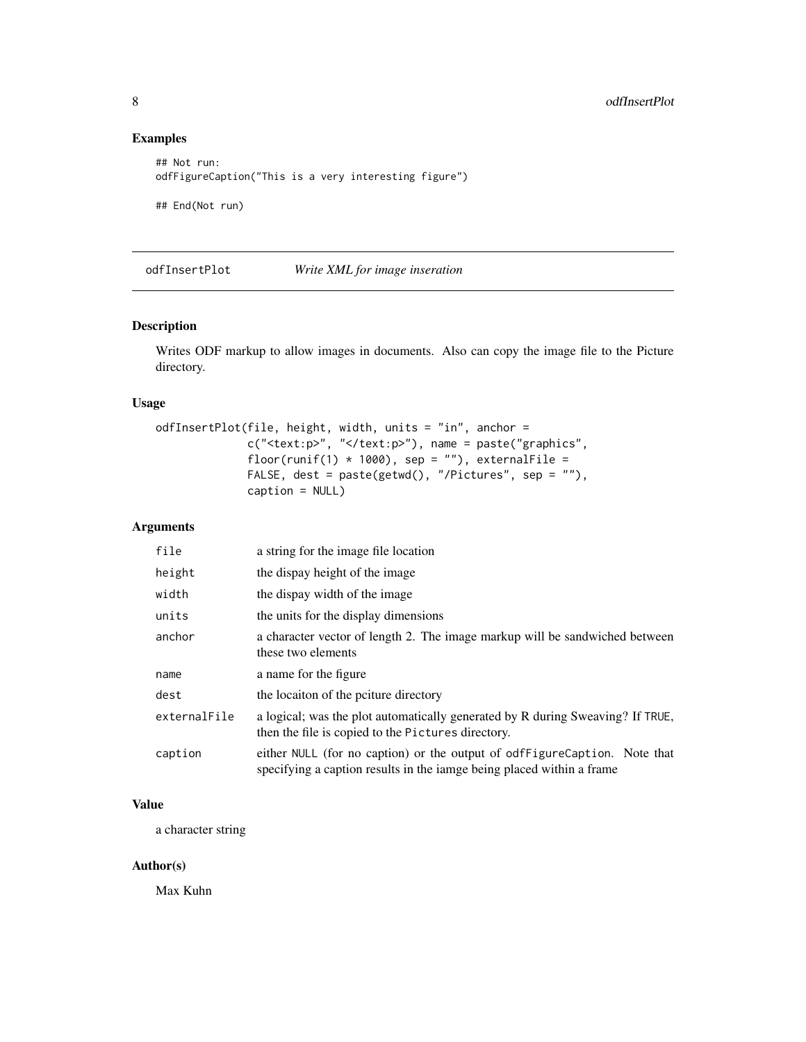# Examples

```
## Not run:
odfFigureCaption("This is a very interesting figure")
## End(Not run)
```
odfInsertPlot *Write XML for image inseration*

# Description

Writes ODF markup to allow images in documents. Also can copy the image file to the Picture directory.

#### Usage

```
odfInsertPlot(file, height, width, units = "in", anchor =
              c("<text:p>", "</text:p>"), name = paste("graphics",
              floor(runif(1) * 1000), sep = ""), externalFile =
              FALSE, dest = paste(getwd(), "/Pictures", sep = ""),
              caption = NULL)
```
# Arguments

| file         | a string for the image file location                                                                                                               |
|--------------|----------------------------------------------------------------------------------------------------------------------------------------------------|
| height       | the dispay height of the image                                                                                                                     |
| width        | the dispay width of the image                                                                                                                      |
| units        | the units for the display dimensions                                                                                                               |
| anchor       | a character vector of length 2. The image markup will be sandwiched between<br>these two elements                                                  |
| name         | a name for the figure                                                                                                                              |
| dest         | the locaiton of the poiture directory                                                                                                              |
| externalFile | a logical; was the plot automatically generated by R during Sweaving? If TRUE,<br>then the file is copied to the Pictures directory.               |
| caption      | either NULL (for no caption) or the output of odfFigureCaption. Note that<br>specifying a caption results in the iamge being placed within a frame |

# Value

a character string

# Author(s)

Max Kuhn

<span id="page-7-0"></span>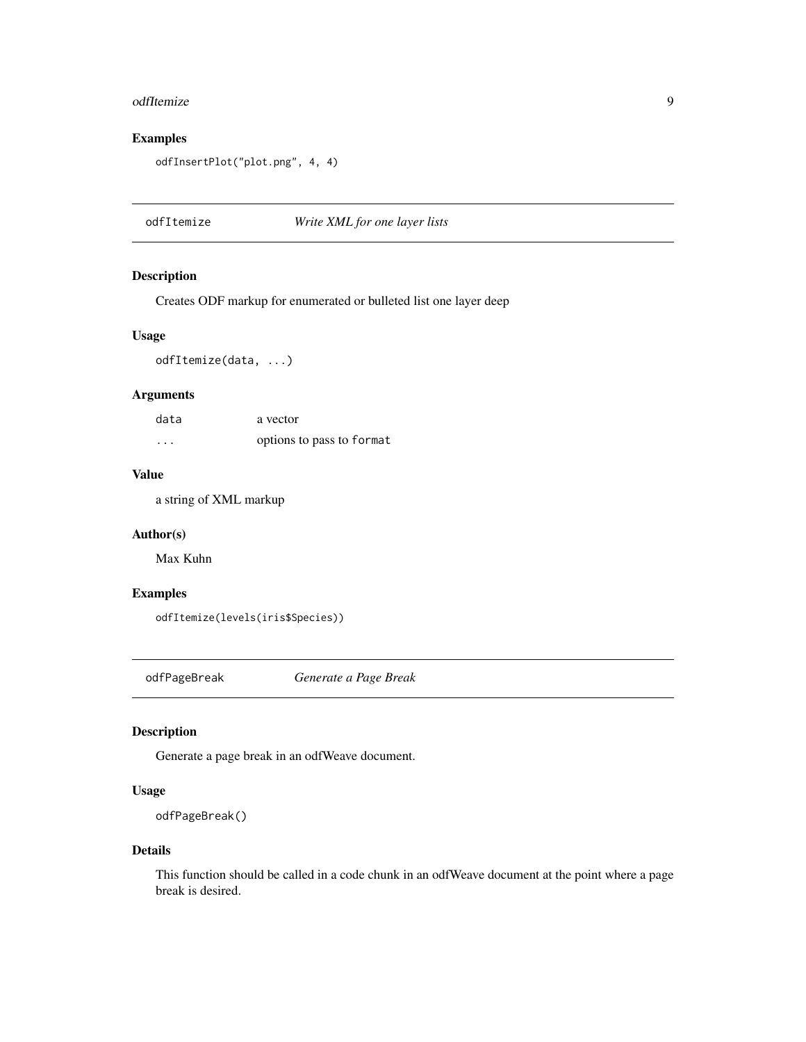#### <span id="page-8-0"></span>odfItemize 9

# Examples

```
odfInsertPlot("plot.png", 4, 4)
```
odfItemize *Write XML for one layer lists*

#### Description

Creates ODF markup for enumerated or bulleted list one layer deep

# Usage

odfItemize(data, ...)

#### Arguments

| data     | a vector                  |
|----------|---------------------------|
| $\cdots$ | options to pass to format |

#### Value

a string of XML markup

#### Author(s)

Max Kuhn

# Examples

```
odfItemize(levels(iris$Species))
```
odfPageBreak *Generate a Page Break*

# Description

Generate a page break in an odfWeave document.

# Usage

```
odfPageBreak()
```
#### Details

This function should be called in a code chunk in an odfWeave document at the point where a page break is desired.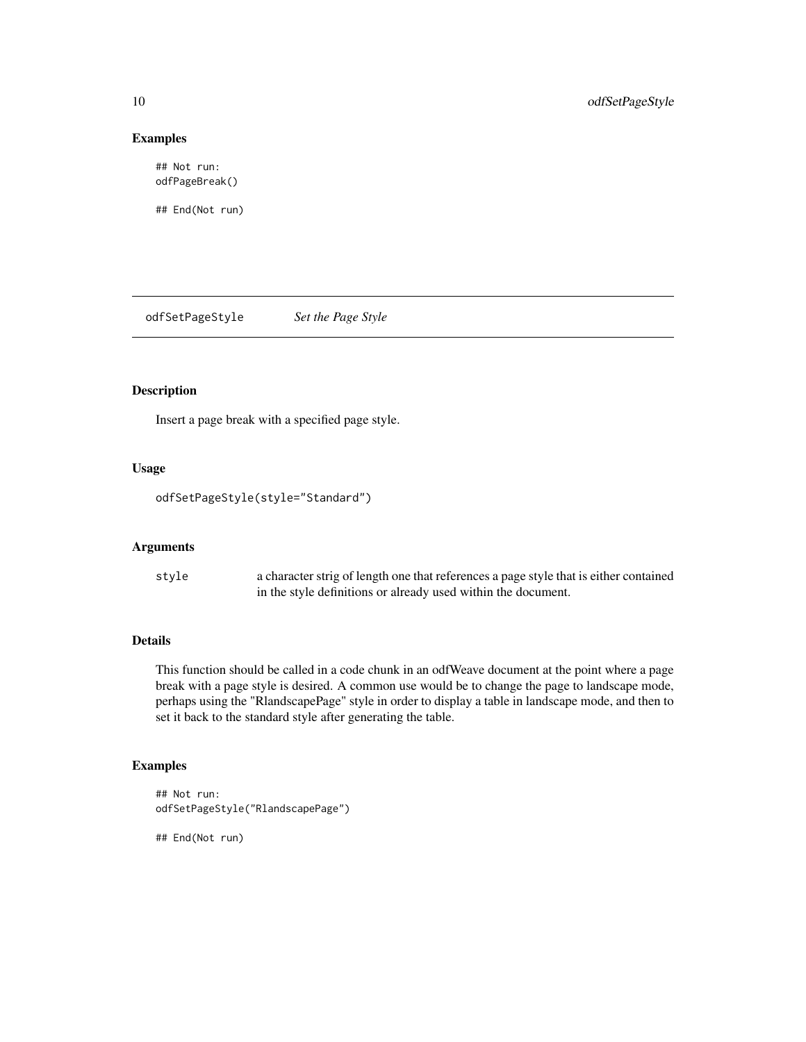# Examples

## Not run: odfPageBreak()

## End(Not run)

odfSetPageStyle *Set the Page Style*

# Description

Insert a page break with a specified page style.

#### Usage

odfSetPageStyle(style="Standard")

# Arguments

| style | a character strig of length one that references a page style that is either contained |
|-------|---------------------------------------------------------------------------------------|
|       | in the style definitions or already used within the document.                         |

# Details

This function should be called in a code chunk in an odfWeave document at the point where a page break with a page style is desired. A common use would be to change the page to landscape mode, perhaps using the "RlandscapePage" style in order to display a table in landscape mode, and then to set it back to the standard style after generating the table.

# Examples

```
## Not run:
odfSetPageStyle("RlandscapePage")
```
## End(Not run)

<span id="page-9-0"></span>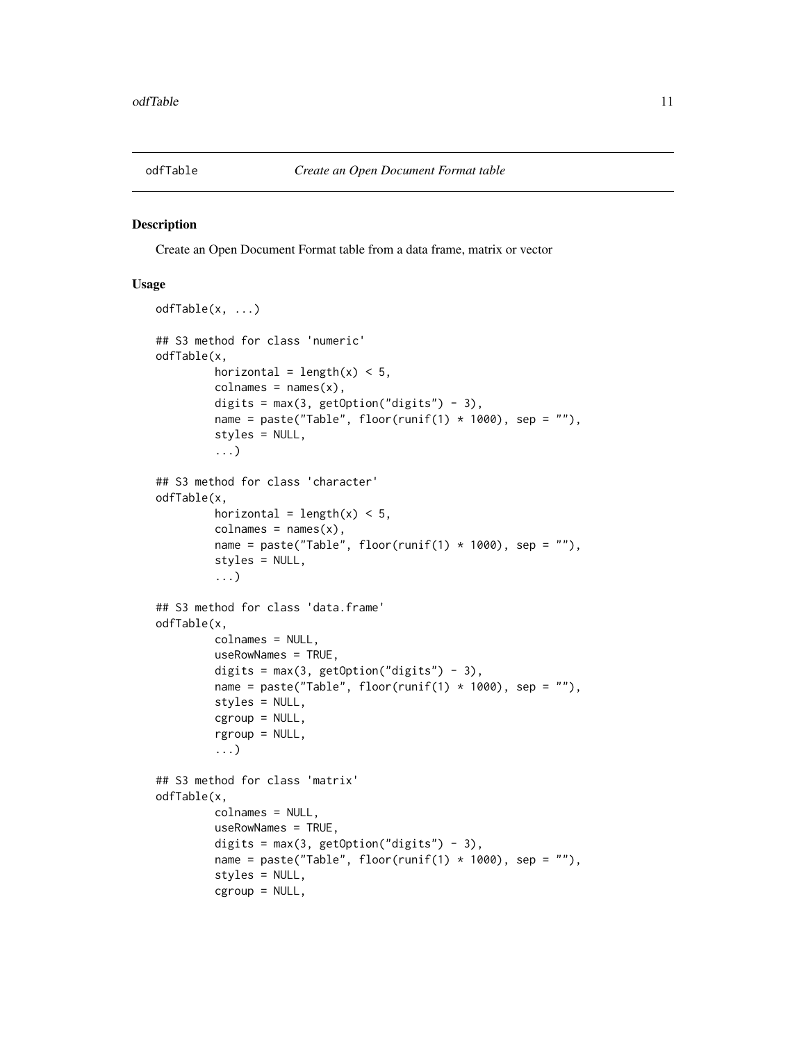<span id="page-10-1"></span><span id="page-10-0"></span>

#### Description

Create an Open Document Format table from a data frame, matrix or vector

#### Usage

```
odfTable(x, ...)
## S3 method for class 'numeric'
odfTable(x,
         horizontal = length(x) < 5,
         colnames = names(x),digits = max(3, getOption("digits") - 3),name = paste("Table", floor(runif(1) * 1000), sep = ""),
         styles = NULL,
         ...)
## S3 method for class 'character'
odfTable(x,
         horizontal = length(x) < 5,
         colnames = names(x),
         name = paste("Table", floor(runif(1) * 1000), sep = ""),
         styles = NULL,
         ...)
## S3 method for class 'data.frame'
odfTable(x,
         colnames = NULL,
         useRowNames = TRUE,
         digits = max(3, getOption("digits") - 3),
         name = paste("Table", floor(runif(1) * 1000), sep = ""),
         styles = NULL,
         cgroup = NULL,
         rgroup = NULL,
         ...)
## S3 method for class 'matrix'
odfTable(x,
         colnames = NULL,
         useRowNames = TRUE,
         digits = max(3, getOption("digits") - 3),name = paste("Table", floor(runif(1) * 1000), sep = ""),
         styles = NULL,
         cgroup = NULL,
```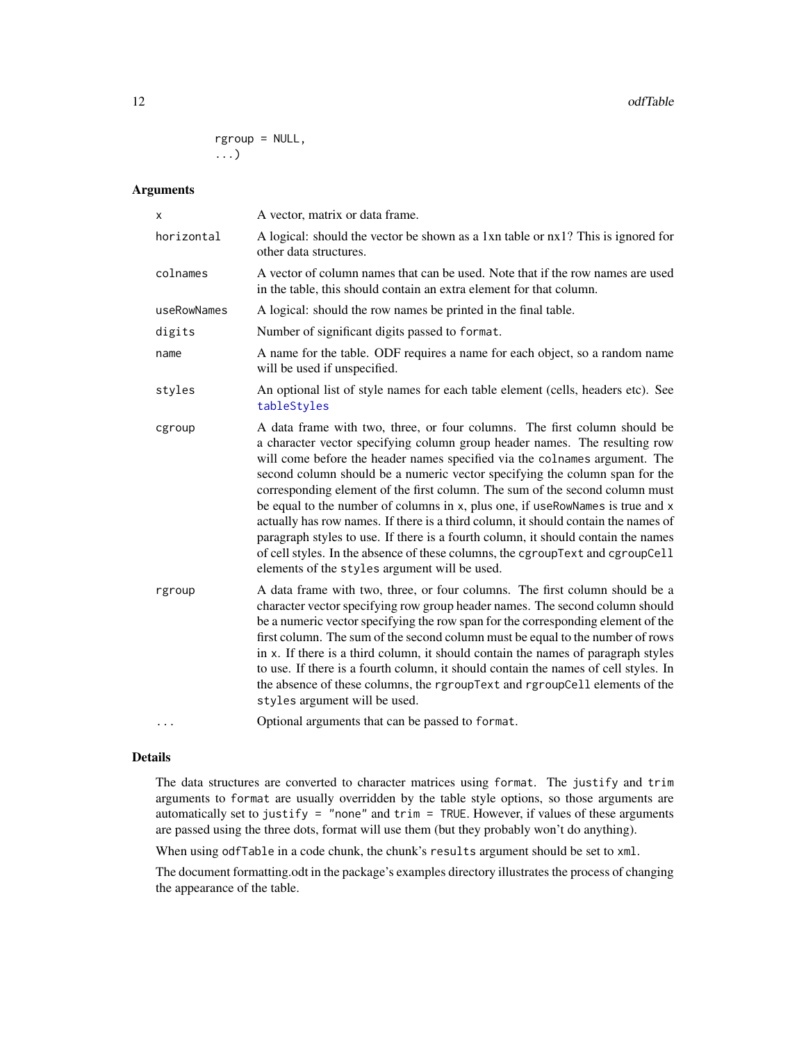<span id="page-11-0"></span>rgroup = NULL, ...)

#### Arguments

| X           | A vector, matrix or data frame.                                                                                                                                                                                                                                                                                                                                                                                                                                                                                                                                                                                                                                                                                                                                                                      |
|-------------|------------------------------------------------------------------------------------------------------------------------------------------------------------------------------------------------------------------------------------------------------------------------------------------------------------------------------------------------------------------------------------------------------------------------------------------------------------------------------------------------------------------------------------------------------------------------------------------------------------------------------------------------------------------------------------------------------------------------------------------------------------------------------------------------------|
| horizontal  | A logical: should the vector be shown as a 1xn table or nx1? This is ignored for<br>other data structures.                                                                                                                                                                                                                                                                                                                                                                                                                                                                                                                                                                                                                                                                                           |
| colnames    | A vector of column names that can be used. Note that if the row names are used<br>in the table, this should contain an extra element for that column.                                                                                                                                                                                                                                                                                                                                                                                                                                                                                                                                                                                                                                                |
| useRowNames | A logical: should the row names be printed in the final table.                                                                                                                                                                                                                                                                                                                                                                                                                                                                                                                                                                                                                                                                                                                                       |
| digits      | Number of significant digits passed to format.                                                                                                                                                                                                                                                                                                                                                                                                                                                                                                                                                                                                                                                                                                                                                       |
| name        | A name for the table. ODF requires a name for each object, so a random name<br>will be used if unspecified.                                                                                                                                                                                                                                                                                                                                                                                                                                                                                                                                                                                                                                                                                          |
| styles      | An optional list of style names for each table element (cells, headers etc). See<br>tableStyles                                                                                                                                                                                                                                                                                                                                                                                                                                                                                                                                                                                                                                                                                                      |
| cgroup      | A data frame with two, three, or four columns. The first column should be<br>a character vector specifying column group header names. The resulting row<br>will come before the header names specified via the colnames argument. The<br>second column should be a numeric vector specifying the column span for the<br>corresponding element of the first column. The sum of the second column must<br>be equal to the number of columns in x, plus one, if useRowNames is true and x<br>actually has row names. If there is a third column, it should contain the names of<br>paragraph styles to use. If there is a fourth column, it should contain the names<br>of cell styles. In the absence of these columns, the cgroupText and cgroupCell<br>elements of the styles argument will be used. |
| rgroup      | A data frame with two, three, or four columns. The first column should be a<br>character vector specifying row group header names. The second column should<br>be a numeric vector specifying the row span for the corresponding element of the<br>first column. The sum of the second column must be equal to the number of rows<br>in x. If there is a third column, it should contain the names of paragraph styles<br>to use. If there is a fourth column, it should contain the names of cell styles. In<br>the absence of these columns, the rgroupText and rgroupCell elements of the<br>styles argument will be used.                                                                                                                                                                        |
|             | Optional arguments that can be passed to format.                                                                                                                                                                                                                                                                                                                                                                                                                                                                                                                                                                                                                                                                                                                                                     |

## Details

The data structures are converted to character matrices using format. The justify and trim arguments to format are usually overridden by the table style options, so those arguments are automatically set to justify = "none" and trim = TRUE. However, if values of these arguments are passed using the three dots, format will use them (but they probably won't do anything).

When using odfTable in a code chunk, the chunk's results argument should be set to xml.

The document formatting.odt in the package's examples directory illustrates the process of changing the appearance of the table.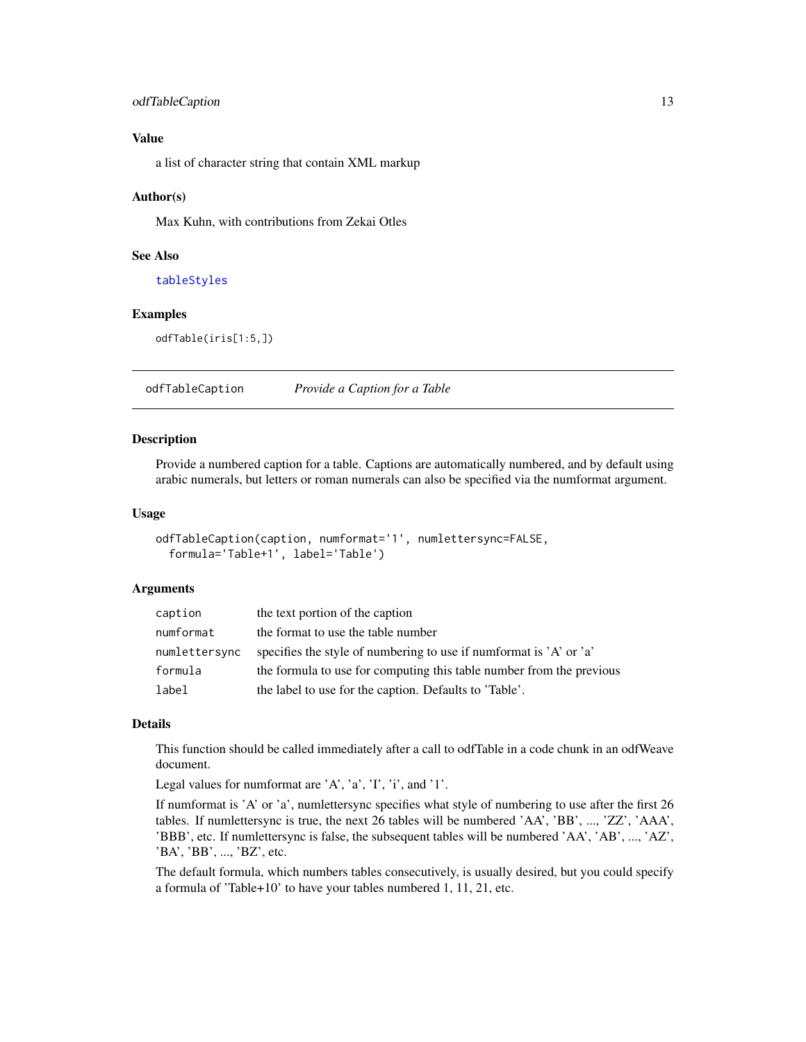#### <span id="page-12-0"></span>odfTableCaption 13

# Value

a list of character string that contain XML markup

#### Author(s)

Max Kuhn, with contributions from Zekai Otles

# See Also

[tableStyles](#page-21-1)

#### Examples

odfTable(iris[1:5,])

odfTableCaption *Provide a Caption for a Table*

#### Description

Provide a numbered caption for a table. Captions are automatically numbered, and by default using arabic numerals, but letters or roman numerals can also be specified via the numformat argument.

#### Usage

```
odfTableCaption(caption, numformat='1', numlettersync=FALSE,
  formula='Table+1', label='Table')
```
#### Arguments

| caption       | the text portion of the caption                                      |
|---------------|----------------------------------------------------------------------|
| numformat     | the format to use the table number                                   |
| numlettersync | specifies the style of numbering to use if numformat is 'A' or 'a'   |
| formula       | the formula to use for computing this table number from the previous |
| label         | the label to use for the caption. Defaults to 'Table'.               |

# Details

This function should be called immediately after a call to odfTable in a code chunk in an odfWeave document.

Legal values for numformat are 'A', 'a', 'I', 'i', and '1'.

If numformat is 'A' or 'a', numlettersync specifies what style of numbering to use after the first 26 tables. If numlettersync is true, the next 26 tables will be numbered 'AA', 'BB', ..., 'ZZ', 'AAA', 'BBB', etc. If numlettersync is false, the subsequent tables will be numbered 'AA', 'AB', ..., 'AZ', 'BA', 'BB', ..., 'BZ', etc.

The default formula, which numbers tables consecutively, is usually desired, but you could specify a formula of 'Table+10' to have your tables numbered 1, 11, 21, etc.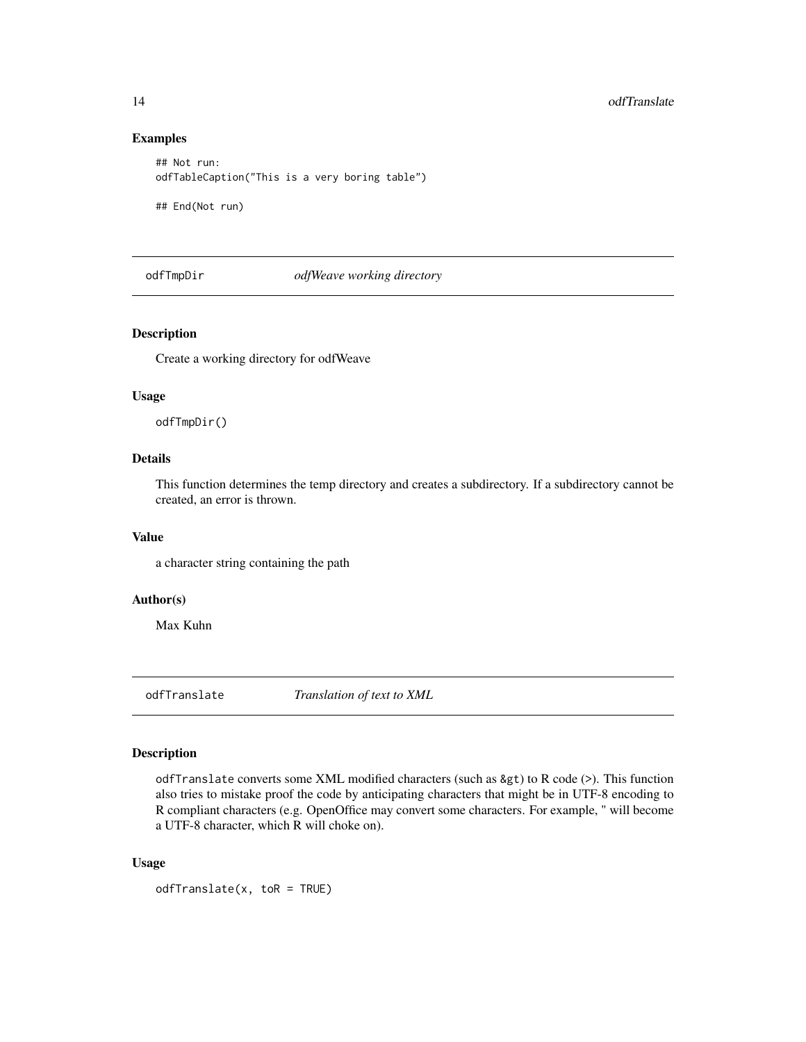# Examples

```
## Not run:
odfTableCaption("This is a very boring table")
```
## End(Not run)

odfTmpDir *odfWeave working directory*

# Description

Create a working directory for odfWeave

#### Usage

odfTmpDir()

# Details

This function determines the temp directory and creates a subdirectory. If a subdirectory cannot be created, an error is thrown.

#### Value

a character string containing the path

# Author(s)

Max Kuhn

odfTranslate *Translation of text to XML*

# Description

odfTranslate converts some XML modified characters (such as  $\>$ ) to R code (>). This function also tries to mistake proof the code by anticipating characters that might be in UTF-8 encoding to R compliant characters (e.g. OpenOffice may convert some characters. For example, " will become a UTF-8 character, which R will choke on).

# Usage

 $odffranslate(x, toR = TRUE)$ 

<span id="page-13-0"></span>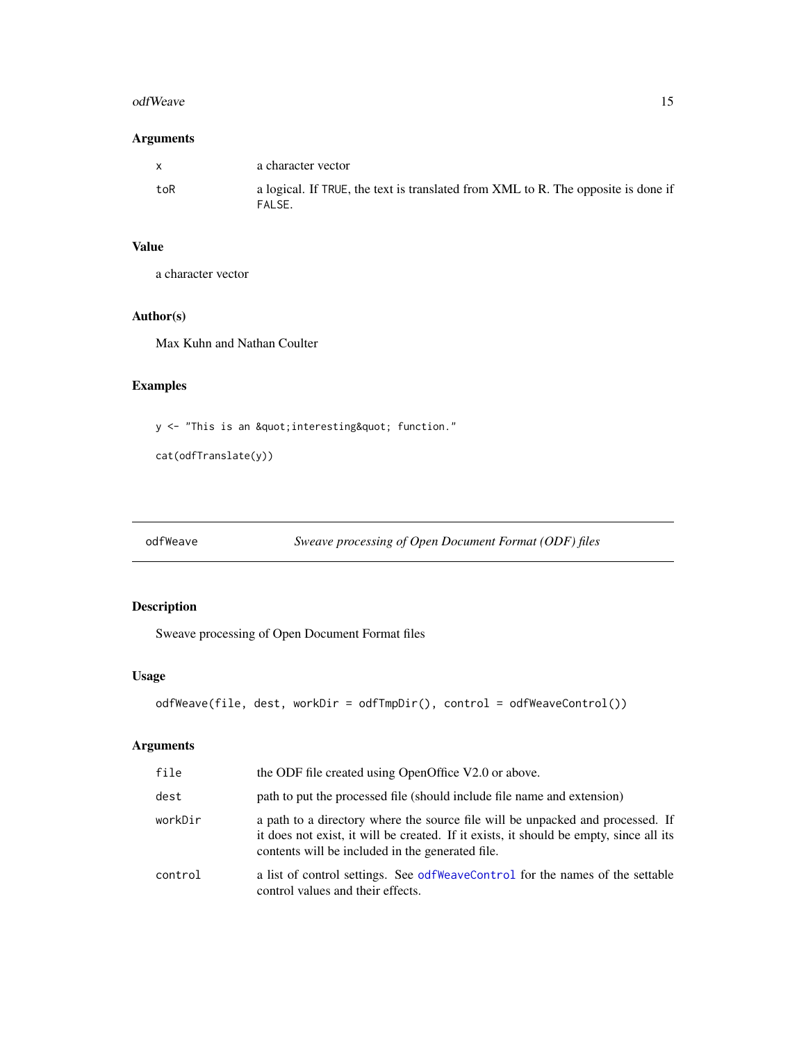#### <span id="page-14-0"></span>odfWeave 15

# Arguments

| $\mathbf{x}$ | a character vector                                                                          |
|--------------|---------------------------------------------------------------------------------------------|
| toR          | a logical. If TRUE, the text is translated from XML to R. The opposite is done if<br>FALSE. |

# Value

a character vector

# Author(s)

Max Kuhn and Nathan Coulter

# Examples

y <- "This is an &quot; interesting&quot; function."

cat(odfTranslate(y))

<span id="page-14-1"></span>odfWeave *Sweave processing of Open Document Format (ODF) files*

# Description

Sweave processing of Open Document Format files

# Usage

```
odfWeave(file, dest, workDir = odfTmpDir(), control = odfWeaveControl())
```
# Arguments

| file    | the ODF file created using OpenOffice V2.0 or above.                                                                                                                                                                         |
|---------|------------------------------------------------------------------------------------------------------------------------------------------------------------------------------------------------------------------------------|
| dest    | path to put the processed file (should include file name and extension)                                                                                                                                                      |
| workDir | a path to a directory where the source file will be unpacked and processed. If<br>it does not exist, it will be created. If it exists, it should be empty, since all its<br>contents will be included in the generated file. |
| control | a list of control settings. See odf WeaveControl for the names of the settable<br>control values and their effects.                                                                                                          |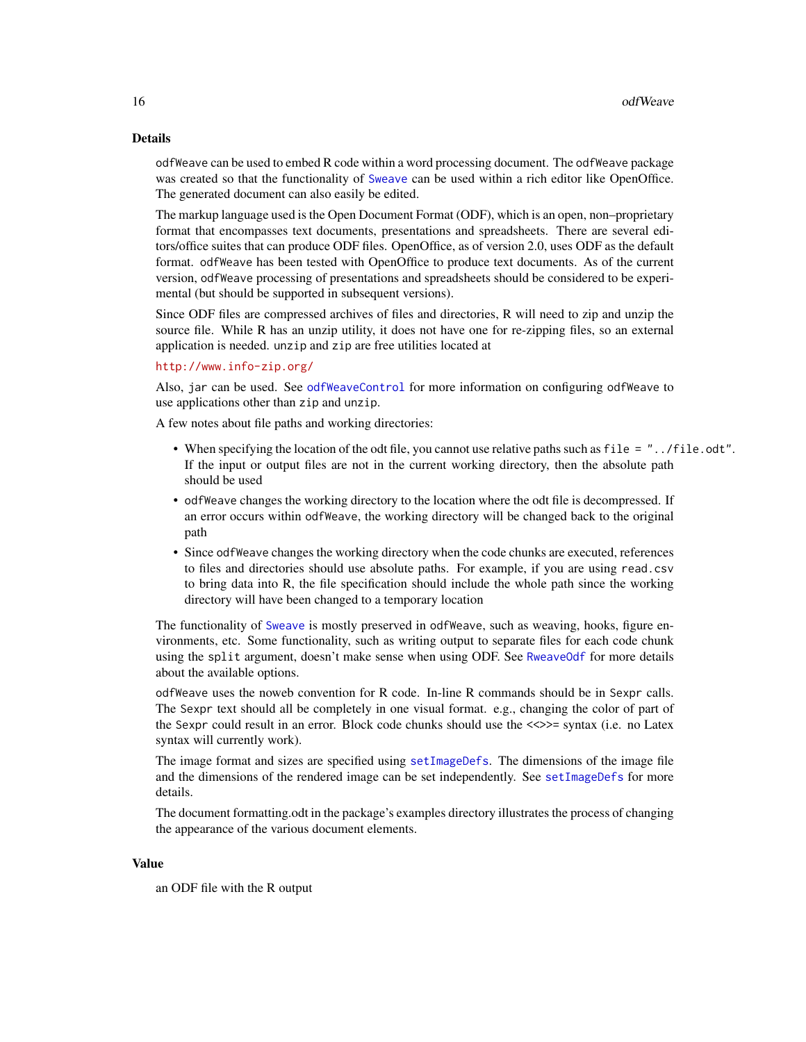#### <span id="page-15-0"></span>Details

odfWeave can be used to embed R code within a word processing document. The odfWeave package was created so that the functionality of [Sweave](#page-0-0) can be used within a rich editor like OpenOffice. The generated document can also easily be edited.

The markup language used is the Open Document Format (ODF), which is an open, non–proprietary format that encompasses text documents, presentations and spreadsheets. There are several editors/office suites that can produce ODF files. OpenOffice, as of version 2.0, uses ODF as the default format. odfWeave has been tested with OpenOffice to produce text documents. As of the current version, odfWeave processing of presentations and spreadsheets should be considered to be experimental (but should be supported in subsequent versions).

Since ODF files are compressed archives of files and directories, R will need to zip and unzip the source file. While R has an unzip utility, it does not have one for re-zipping files, so an external application is needed. unzip and zip are free utilities located at

#### <http://www.info-zip.org/>

Also, jar can be used. See [odfWeaveControl](#page-16-1) for more information on configuring odfWeave to use applications other than zip and unzip.

A few notes about file paths and working directories:

- When specifying the location of the odt file, you cannot use relative paths such as file = "../file.odt". If the input or output files are not in the current working directory, then the absolute path should be used
- odfWeave changes the working directory to the location where the odt file is decompressed. If an error occurs within odfWeave, the working directory will be changed back to the original path
- Since odfWeave changes the working directory when the code chunks are executed, references to files and directories should use absolute paths. For example, if you are using read.csv to bring data into R, the file specification should include the whole path since the working directory will have been changed to a temporary location

The functionality of [Sweave](#page-0-0) is mostly preserved in odfWeave, such as weaving, hooks, figure environments, etc. Some functionality, such as writing output to separate files for each code chunk using the split argument, doesn't make sense when using ODF. See [RweaveOdf](#page-18-1) for more details about the available options.

odfWeave uses the noweb convention for R code. In-line R commands should be in Sexpr calls. The Sexpr text should all be completely in one visual format. e.g., changing the color of part of the Sexpr could result in an error. Block code chunks should use the <<>>= syntax (i.e. no Latex syntax will currently work).

The image format and sizes are specified using [setImageDefs](#page-19-1). The dimensions of the image file and the dimensions of the rendered image can be set independently. See set ImageDefs for more details.

The document formatting.odt in the package's examples directory illustrates the process of changing the appearance of the various document elements.

# Value

an ODF file with the R output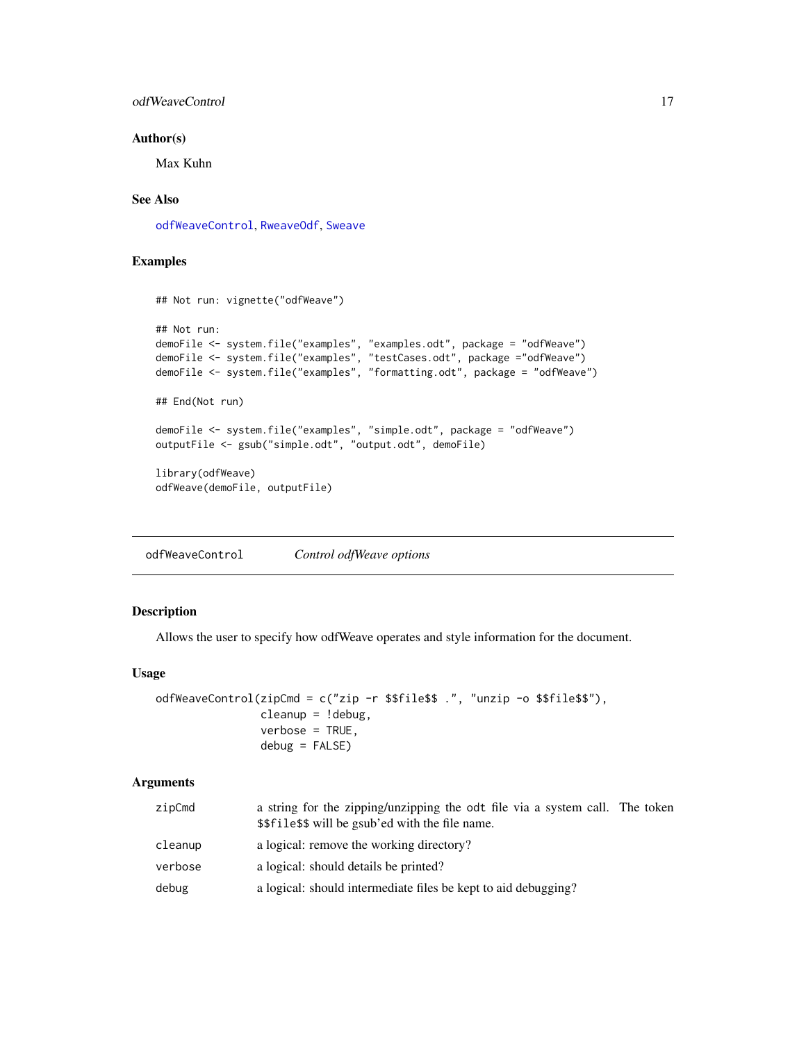# <span id="page-16-0"></span>odfWeaveControl 17

# Author(s)

Max Kuhn

# See Also

[odfWeaveControl](#page-16-1), [RweaveOdf](#page-18-1), [Sweave](#page-0-0)

# Examples

```
## Not run: vignette("odfWeave")
## Not run:
demoFile <- system.file("examples", "examples.odt", package = "odfWeave")
demoFile <- system.file("examples", "testCases.odt", package ="odfWeave")
demoFile <- system.file("examples", "formatting.odt", package = "odfWeave")
## End(Not run)
demoFile <- system.file("examples", "simple.odt", package = "odfWeave")
outputFile <- gsub("simple.odt", "output.odt", demoFile)
library(odfWeave)
odfWeave(demoFile, outputFile)
```
<span id="page-16-1"></span>odfWeaveControl *Control odfWeave options*

#### Description

Allows the user to specify how odfWeave operates and style information for the document.

# Usage

```
odfWeaveControl(zipCmd = c("zip -r $$file$$ .", "unzip -o $$file$$"),
                cleanup = !debug,
                verbose = TRUE,
                debug = FALSE)
```
# Arguments

| zipCmd  | a string for the zipping/unzipping the odt file via a system call. The token<br>\$\$file\$\$ will be gsub'ed with the file name. |  |
|---------|----------------------------------------------------------------------------------------------------------------------------------|--|
| cleanup | a logical: remove the working directory?                                                                                         |  |
| verbose | a logical: should details be printed?                                                                                            |  |
| debug   | a logical: should intermediate files be kept to aid debugging?                                                                   |  |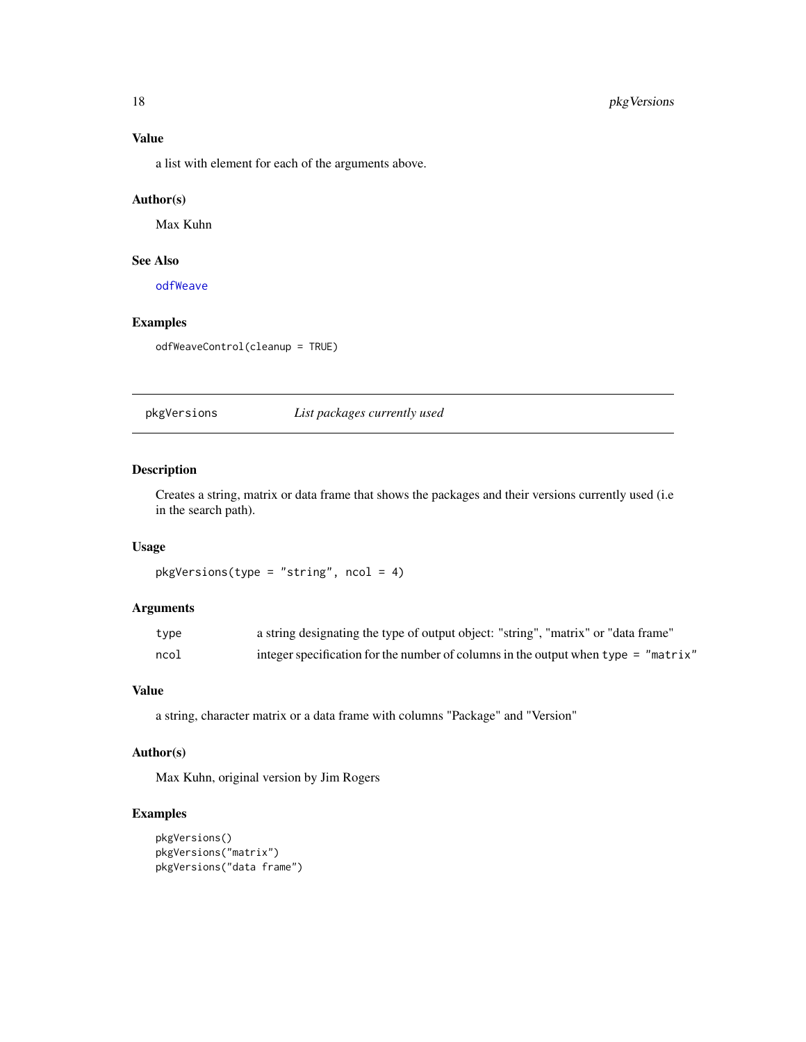#### <span id="page-17-0"></span>Value

a list with element for each of the arguments above.

# Author(s)

Max Kuhn

## See Also

[odfWeave](#page-14-1)

# Examples

odfWeaveControl(cleanup = TRUE)

pkgVersions *List packages currently used*

# Description

Creates a string, matrix or data frame that shows the packages and their versions currently used (i.e in the search path).

## Usage

```
pkgVersions(type = "string", ncol = 4)
```
# Arguments

| type | a string designating the type of output object: "string", "matrix" or "data frame" |
|------|------------------------------------------------------------------------------------|
| ncol | integer specification for the number of columns in the output when type = "matrix" |

#### Value

a string, character matrix or a data frame with columns "Package" and "Version"

#### Author(s)

Max Kuhn, original version by Jim Rogers

```
pkgVersions()
pkgVersions("matrix")
pkgVersions("data frame")
```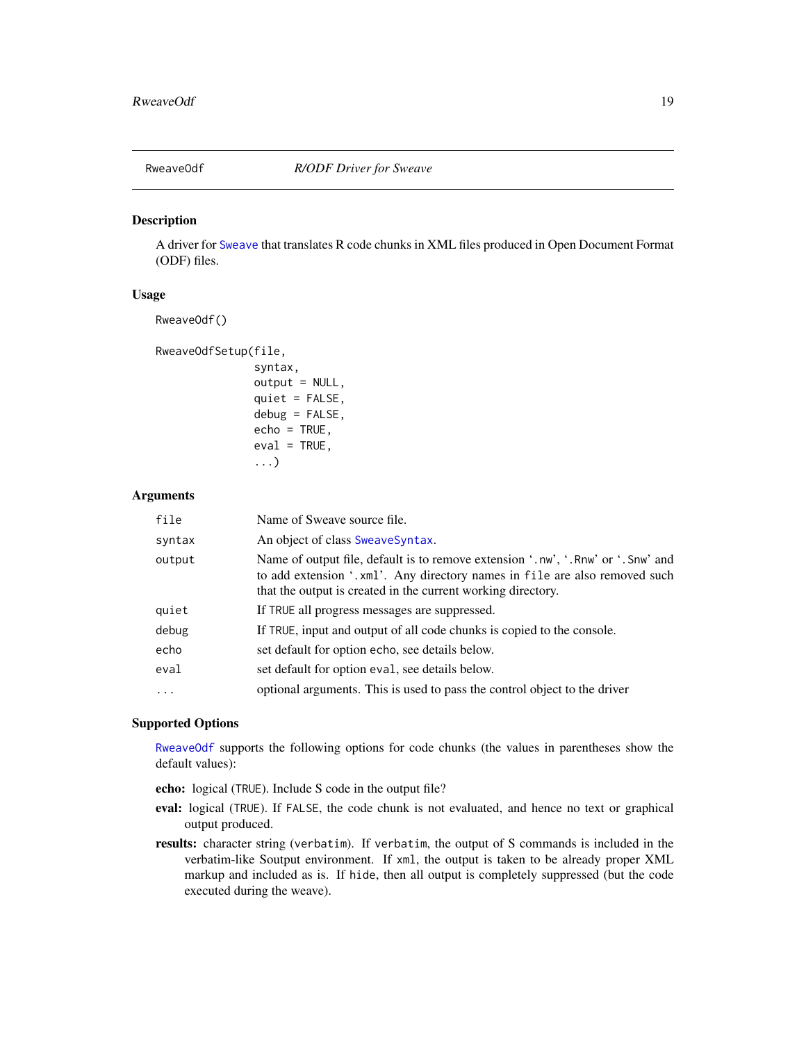<span id="page-18-1"></span><span id="page-18-0"></span>

#### Description

A driver for [Sweave](#page-0-0) that translates R code chunks in XML files produced in Open Document Format (ODF) files.

#### Usage

RweaveOdf()

RweaveOdfSetup(file,

```
syntax,
output = NULL,quiet = FALSE,debug = FALSE,
echo = TRUE,
eval = TRUE,...)
```
#### Arguments

| An object of class SweaveSyntax.<br>syntax<br>output<br>that the output is created in the current working directory.<br>quiet<br>If TRUE all progress messages are suppressed.<br>debug<br>If TRUE, input and output of all code chunks is copied to the console.<br>echo<br>set default for option echo, see details below.<br>eval<br>set default for option eval, see details below.<br>optional arguments. This is used to pass the control object to the driver<br>$\cdots$ | file | Name of Sweave source file.                                                                                                                                   |
|----------------------------------------------------------------------------------------------------------------------------------------------------------------------------------------------------------------------------------------------------------------------------------------------------------------------------------------------------------------------------------------------------------------------------------------------------------------------------------|------|---------------------------------------------------------------------------------------------------------------------------------------------------------------|
|                                                                                                                                                                                                                                                                                                                                                                                                                                                                                  |      |                                                                                                                                                               |
|                                                                                                                                                                                                                                                                                                                                                                                                                                                                                  |      | Name of output file, default is to remove extension '.nw', '.Rnw' or '.Snw' and<br>to add extension '.xml'. Any directory names in file are also removed such |
|                                                                                                                                                                                                                                                                                                                                                                                                                                                                                  |      |                                                                                                                                                               |
|                                                                                                                                                                                                                                                                                                                                                                                                                                                                                  |      |                                                                                                                                                               |
|                                                                                                                                                                                                                                                                                                                                                                                                                                                                                  |      |                                                                                                                                                               |
|                                                                                                                                                                                                                                                                                                                                                                                                                                                                                  |      |                                                                                                                                                               |
|                                                                                                                                                                                                                                                                                                                                                                                                                                                                                  |      |                                                                                                                                                               |

# Supported Options

[RweaveOdf](#page-18-1) supports the following options for code chunks (the values in parentheses show the default values):

echo: logical (TRUE). Include S code in the output file?

- eval: logical (TRUE). If FALSE, the code chunk is not evaluated, and hence no text or graphical output produced.
- results: character string (verbatim). If verbatim, the output of S commands is included in the verbatim-like Soutput environment. If xml, the output is taken to be already proper XML markup and included as is. If hide, then all output is completely suppressed (but the code executed during the weave).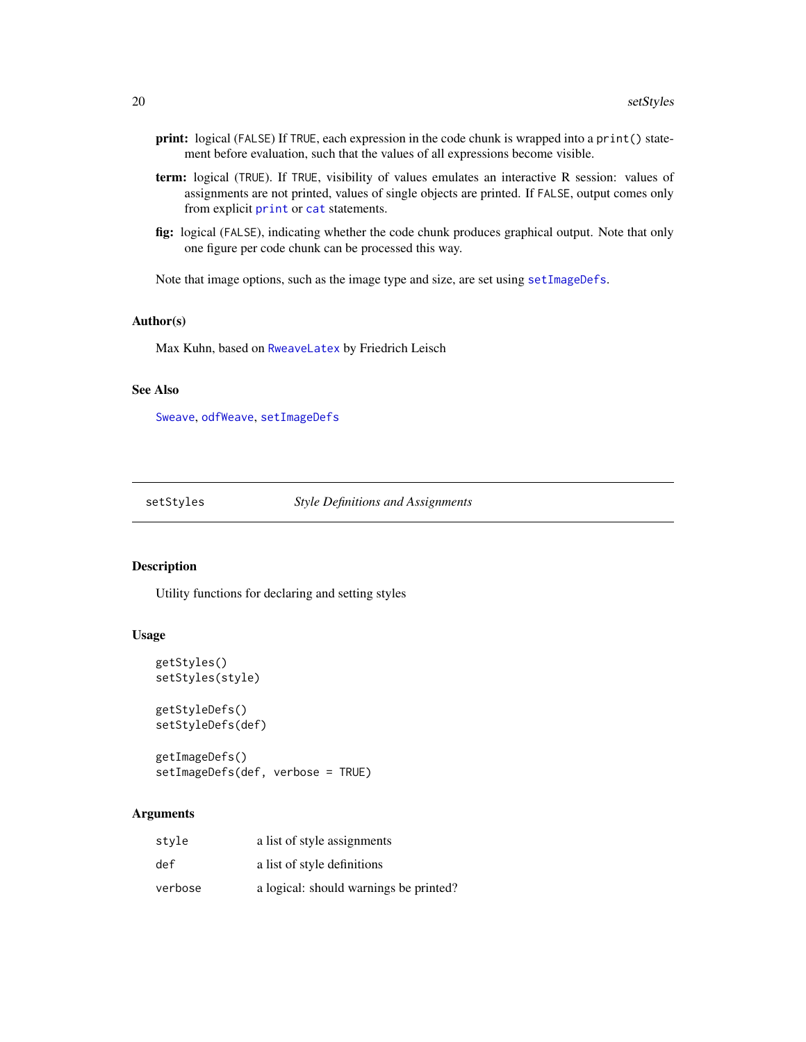- <span id="page-19-0"></span>print: logical (FALSE) If TRUE, each expression in the code chunk is wrapped into a print() statement before evaluation, such that the values of all expressions become visible.
- term: logical (TRUE). If TRUE, visibility of values emulates an interactive R session: values of assignments are not printed, values of single objects are printed. If FALSE, output comes only from explicit [print](#page-0-0) or [cat](#page-0-0) statements.
- fig: logical (FALSE), indicating whether the code chunk produces graphical output. Note that only one figure per code chunk can be processed this way.

Note that image options, such as the image type and size, are set using [setImageDefs](#page-19-1).

#### Author(s)

Max Kuhn, based on [RweaveLatex](#page-0-0) by Friedrich Leisch

#### See Also

[Sweave](#page-0-0), [odfWeave](#page-14-1), [setImageDefs](#page-19-1)

setStyles *Style Definitions and Assignments*

#### <span id="page-19-1"></span>Description

Utility functions for declaring and setting styles

#### Usage

```
getStyles()
setStyles(style)
getStyleDefs()
setStyleDefs(def)
```
getImageDefs() setImageDefs(def, verbose = TRUE)

#### Arguments

| style   | a list of style assignments            |
|---------|----------------------------------------|
| def     | a list of style definitions            |
| verbose | a logical: should warnings be printed? |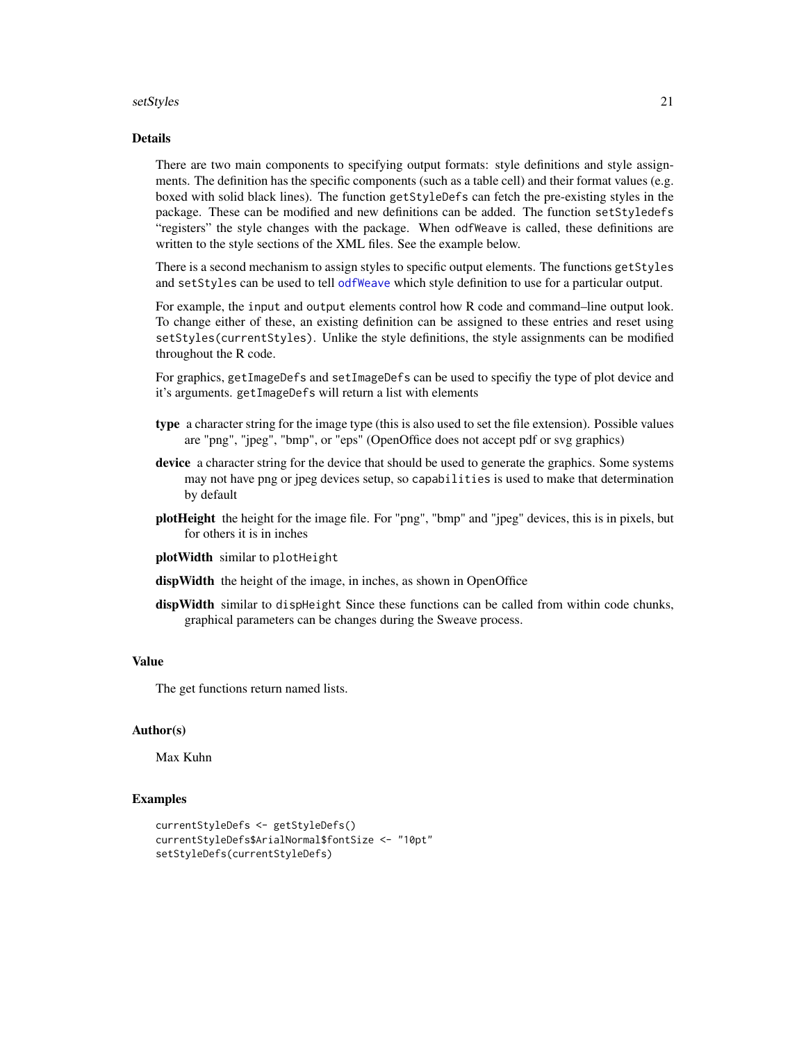#### <span id="page-20-0"></span>setStyles 21

### Details

There are two main components to specifying output formats: style definitions and style assignments. The definition has the specific components (such as a table cell) and their format values (e.g. boxed with solid black lines). The function getStyleDefs can fetch the pre-existing styles in the package. These can be modified and new definitions can be added. The function setStyledefs "registers" the style changes with the package. When odfWeave is called, these definitions are written to the style sections of the XML files. See the example below.

There is a second mechanism to assign styles to specific output elements. The functions getStyles and setStyles can be used to tell [odfWeave](#page-14-1) which style definition to use for a particular output.

For example, the input and output elements control how R code and command–line output look. To change either of these, an existing definition can be assigned to these entries and reset using setStyles(currentStyles). Unlike the style definitions, the style assignments can be modified throughout the R code.

For graphics, getImageDefs and setImageDefs can be used to specifiy the type of plot device and it's arguments. getImageDefs will return a list with elements

- type a character string for the image type (this is also used to set the file extension). Possible values are "png", "jpeg", "bmp", or "eps" (OpenOffice does not accept pdf or svg graphics)
- device a character string for the device that should be used to generate the graphics. Some systems may not have png or jpeg devices setup, so capabilities is used to make that determination by default
- plotHeight the height for the image file. For "png", "bmp" and "jpeg" devices, this is in pixels, but for others it is in inches
- plotWidth similar to plotHeight
- dispWidth the height of the image, in inches, as shown in OpenOffice
- dispWidth similar to dispHeight Since these functions can be called from within code chunks, graphical parameters can be changes during the Sweave process.

#### Value

The get functions return named lists.

# Author(s)

Max Kuhn

```
currentStyleDefs <- getStyleDefs()
currentStyleDefs$ArialNormal$fontSize <- "10pt"
setStyleDefs(currentStyleDefs)
```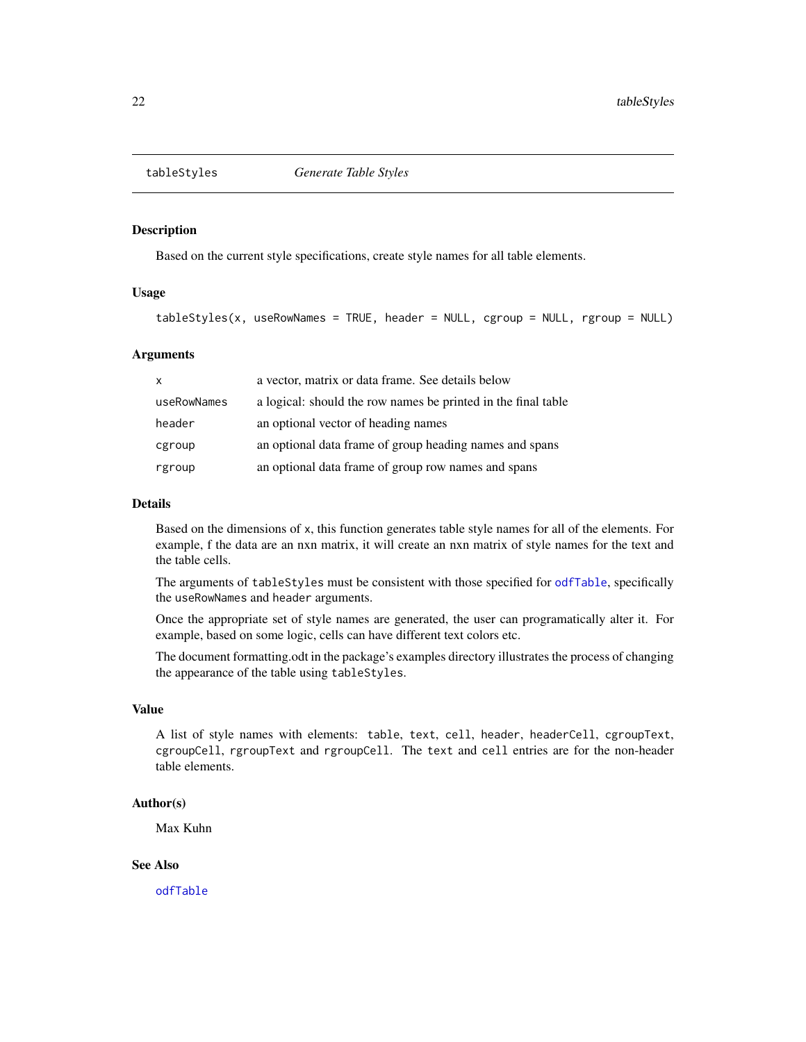<span id="page-21-1"></span><span id="page-21-0"></span>

# Description

Based on the current style specifications, create style names for all table elements.

#### Usage

```
tableStyles(x, useRowNames = TRUE, header = NULL, cgroup = NULL, rgroup = NULL)
```
# Arguments

| X           | a vector, matrix or data frame. See details below             |
|-------------|---------------------------------------------------------------|
| useRowNames | a logical: should the row names be printed in the final table |
| header      | an optional vector of heading names                           |
| cgroup      | an optional data frame of group heading names and spans       |
| rgroup      | an optional data frame of group row names and spans           |

#### Details

Based on the dimensions of x, this function generates table style names for all of the elements. For example, f the data are an nxn matrix, it will create an nxn matrix of style names for the text and the table cells.

The arguments of tableStyles must be consistent with those specified for [odfTable](#page-10-1), specifically the useRowNames and header arguments.

Once the appropriate set of style names are generated, the user can programatically alter it. For example, based on some logic, cells can have different text colors etc.

The document formatting.odt in the package's examples directory illustrates the process of changing the appearance of the table using tableStyles.

# Value

A list of style names with elements: table, text, cell, header, headerCell, cgroupText, cgroupCell, rgroupText and rgroupCell. The text and cell entries are for the non-header table elements.

#### Author(s)

Max Kuhn

#### See Also

[odfTable](#page-10-1)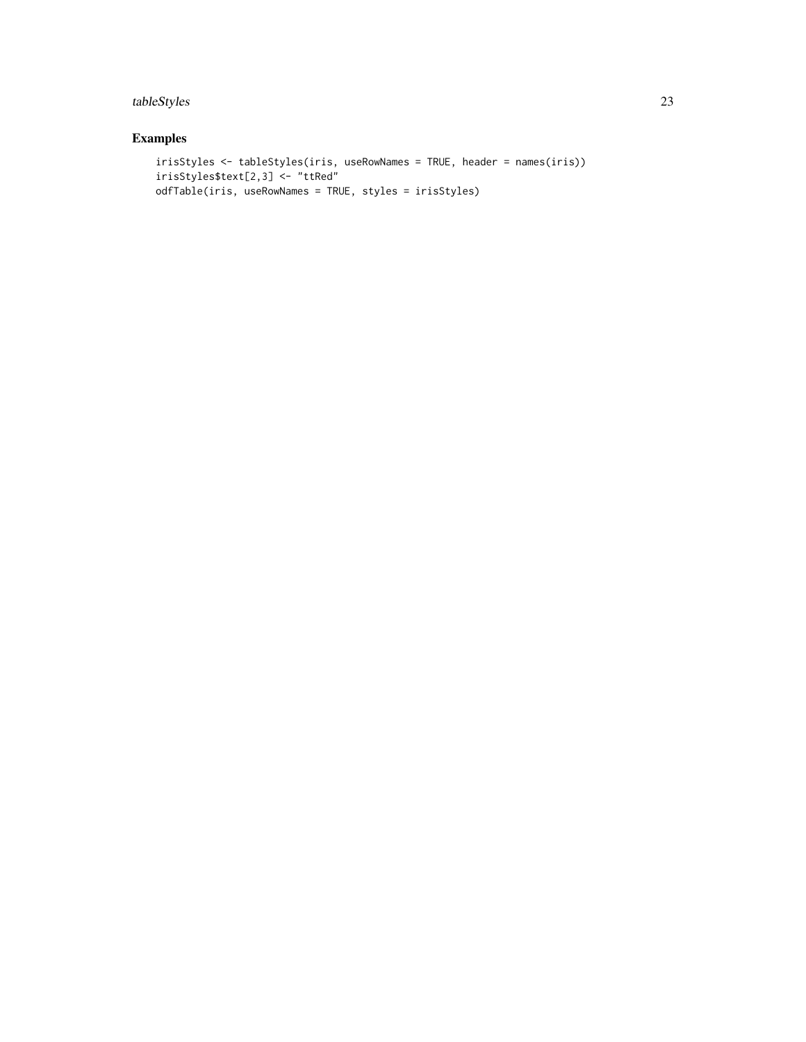# tableStyles 23

```
irisStyles <- tableStyles(iris, useRowNames = TRUE, header = names(iris))
irisStyles$text[2,3] <- "ttRed"
odfTable(iris, useRowNames = TRUE, styles = irisStyles)
```